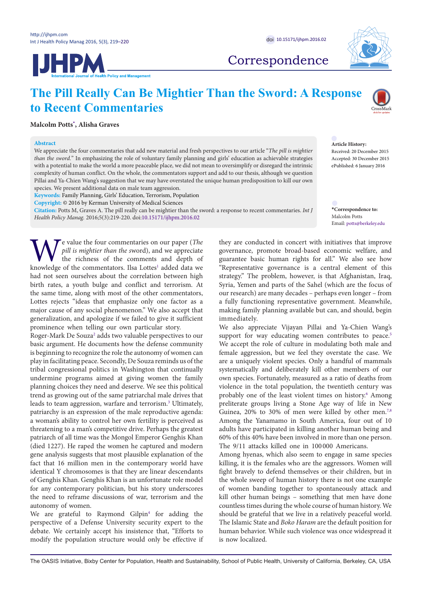**Malcolm Potts[\\*](#page-0-0) , Alisha Graves**

**Abstract**

**JHPM** 



## Correspondence

# **The Pill Really Can Be Mightier Than the Sword: A Response to Recent Commentaries**

We appreciate the four commentaries that add new material and fresh perspectives to our article "*The pill is mightier than the sword.*" In emphasizing the role of voluntary family planning and girls' education as achievable strategies with a potential to make the world a more peaceable place, we did not mean to oversimplify or disregard the intrinsic complexity of human conflict. On the whole, the commentators support and add to our thesis, although we question Pillai and Ya-Chien Wang's suggestion that we may have overstated the unique human predisposition to kill our own

**Citation:** Potts M, Graves A. The pill really can be mightier than the sword: a response to recent commentaries. *Int J* 



### **Article History:**

Received: 20 December 2015 Accepted: 30 December 2015 ePublished: 6 January 2016

<span id="page-0-0"></span>**\*Correspondence to:** Malcolm Potts Email: potts@berkeley.edu

We value the four commentaries on our paper (*The pill is mightier than the sword*), and we appreciate the richness of the comments and depth of knowledge of the commentators. Ilsa Lottes<sup>1</sup> added data we *pill is mightier than the s*word), and we appreciate the richness of the comments and depth of had not seen ourselves about the correlation between high birth rates, a youth bulge and conflict and terrorism. At the same time, along with most of the other commentators, Lottes rejects "ideas that emphasize only one factor as a major cause of any social phenomenon." We also accept that generalization, and apologize if we failed to give it sufficient prominence when telling our own particular story.

*Health Policy Manag.* 2016;5(3):219-220. doi:[10.15171/ijhpm.2016.02](http://dx.doi.org/10.15171/ijhpm.2016.02)

species. We present additional data on male team aggression. **Keywords:** Family Planning, Girls' Education, Terrorism, Population **Copyright:** © 2016 by Kerman University of Medical Sciences

Roger-Mark De Souza<sup>[2](#page-1-1)</sup> adds two valuable perspectives to our basic argument. He documents how the defense community is beginning to recognize the role the autonomy of women can play in facilitating peace. Secondly, De Souza reminds us of the tribal congressional politics in Washington that continually undermine programs aimed at giving women the family planning choices they need and deserve. We see this political trend as growing out of the same patriarchal male drives that leads to team aggression, warfare and terrorism[.3](#page-1-1) Ultimately, patriarchy is an expression of the male reproductive agenda: a woman's ability to control her own fertility is perceived as threatening to a man's competitive drive. Perhaps the greatest patriarch of all time was the Mongol Emperor Genghis Khan (died 1227). He raped the women he captured and modern gene analysis suggests that most plausible explanation of the fact that 16 million men in the contemporary world have identical Y chromosomes is that they are linear descendants of Genghis Khan. Genghis Khan is an unfortunate role model for any contemporary politician, but his story underscores the need to reframe discussions of war, terrorism and the autonomy of women.

We are grateful to Raymond Gilpin<sup>[4](#page-1-2)</sup> for adding the perspective of a Defense University security expert to the debate. We certainly accept his insistence that, "Efforts to modify the population structure would only be effective if

they are conducted in concert with initiatives that improve governance, promote broad-based economic welfare, and guarantee basic human rights for all." We also see how "Representative governance is a central element of this strategy." The problem, however, is that Afghanistan, Iraq, Syria, Yemen and parts of the Sahel (which are the focus of our research) are many decades – perhaps even longer – from a fully functioning representative government. Meanwhile, making family planning available but can, and should, begin immediately.

We also appreciate Vijayan Pillai and Ya-Chien Wang's support for way educating women contributes to peace.<sup>5</sup> We accept the role of culture in modulating both male and female aggression, but we feel they overstate the case. We are a uniquely violent species. Only a handful of mammals systematically and deliberately kill other members of our own species. Fortunately, measured as a ratio of deaths from violence in the total population, the twentieth century was probably one of the least violent times on history.<sup>6</sup> Among preliterate groups living a Stone Age way of life in New Guinea, 20% to 30% of men were killed by other men.<sup>[7,](#page-1-5)8</sup> Among the Yanamamo in South America, four out of 10 adults have participated in killing another human being and 60% of this 40% have been involved in more than one person. The 9/11 attacks killed one in 100 000 Americans.

Among hyenas, which also seem to engage in same species killing, it is the females who are the aggressors. Women will fight bravely to defend themselves or their children, but in the whole sweep of human history there is not one example of women banding together to spontaneously attack and kill other human beings – something that men have done countless times during the whole course of human history. We should be grateful that we live in a relatively peaceful world. The Islamic State and *Boko Haram* are the default position for human behavior. While such violence was once widespread it is now localized.